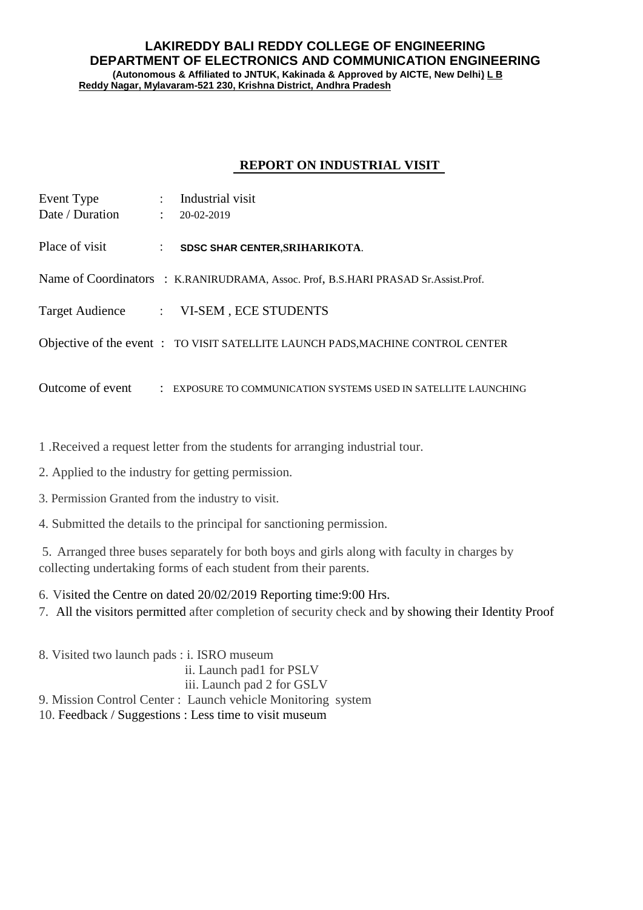## **LAKIREDDY BALI REDDY COLLEGE OF ENGINEERING DEPARTMENT OF ELECTRONICS AND COMMUNICATION ENGINEERING (Autonomous & Affiliated to JNTUK, Kakinada & Approved by AICTE, New Delhi) L B Reddy Nagar, Mylavaram-521 230, Krishna District, Andhra Pradesh**

## **REPORT ON INDUSTRIAL VISIT**

| Event Type      | $\ddot{\phantom{0}}$ | Industrial visit                                                                   |
|-----------------|----------------------|------------------------------------------------------------------------------------|
| Date / Duration |                      | $\therefore$ 20-02-2019                                                            |
| Place of visit  | $\mathcal{L}$        | SDSC SHAR CENTER, SRIHARIKOTA.                                                     |
|                 |                      | Name of Coordinators : K.RANIRUDRAMA, Assoc. Prof, B.S.HARI PRASAD Sr.Assist.Prof. |
|                 |                      | Target Audience : VI-SEM, ECE STUDENTS                                             |
|                 |                      | Objective of the event: TO VISIT SATELLITE LAUNCH PADS, MACHINE CONTROL CENTER     |
|                 |                      | Outcome of event : EXPOSURE TO COMMUNICATION SYSTEMS USED IN SATELLITE LAUNCHING   |

1 .Received a request letter from the students for arranging industrial tour.

2. Applied to the industry for getting permission.

3. Permission Granted from the industry to visit.

4. Submitted the details to the principal for sanctioning permission.

5. Arranged three buses separately for both boys and girls along with faculty in charges by collecting undertaking forms of each student from their parents.

6. Visited the Centre on dated 20/02/2019 Reporting time:9:00 Hrs.

7. All the visitors permitted after completion of security check and by showing their Identity Proof

8. Visited two launch pads : i. ISRO museum ii. Launch pad1 for PSLV iii. Launch pad 2 for GSLV 9. Mission Control Center : Launch vehicle Monitoring system 10. Feedback / Suggestions : Less time to visit museum